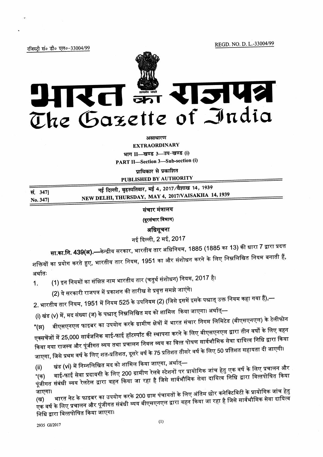REGD. NO. D. L.-33004/99

रजिस्टी सं० डी० एल०-33004/99



असाधारण

**EXTRAORDINARY** भाग II-खण्ड 3-उप-खण्ड (i)

PART II-Section 3-Sub-section (i)

पाधिकार से प्रकाशित PUBLISHED BY AUTHORITY

|          | नई दिल्ली, बृहस्पतिवार, मई 4, 2017/वैशाख 14, 1939  |
|----------|----------------------------------------------------|
| सं. 347] |                                                    |
|          | NEW DELHI, THURSDAY, MAY 4, 2017/VAISAKHA 14, 1939 |
| No. 347] |                                                    |

संचार मंत्रालय

(दूरसंचार विभाग)

अधिसूचना

नई दिल्ली, 2 मई, 2017

**सा.का.नि. 439(अ).—**केन्द्रीय सरकार, भारतीय तार अधिनियम, 1885 (1885 का 13) की धारा 7 द्वारा प्रदत्त शक्तियों का प्रयोग करते हुए, भारतीय तार नियम, 1951 का और संशोधन करने के लिए निम्नलिखित नियम बनाती हैं, अर्थातः

(1) इन नियमों का संक्षिप्त नाम भारतीय तार (चतुर्थ संशोधन) नियम, 2017 है।  $1.$ 

(2) ये सरकारी राजपत्र में प्रकाशन की तारीख से प्रवृत्त समझे जाएंगे।

2. भारतीय तार नियम, 1951 में नियम 525 के उपनियम (2) (जिसे इसमें इसके पश्चात् उक्त नियम कहा गया हैं),—

(i) खंड (v) में, मद संख्या (ज) के पश्चात् निम्नलिखित मद को शामिल किया जाएगा। अर्थात्—

बीएसएनएल फाइबर का उपयोग करके ग्रामीण क्षेत्रों में भारत संचार निगम लिमिटेड (बीएसएनएल) के टेलीफोन "(झ) एक्सचेंजों में 25,000 सार्वजनिक वाई-फाई हॉटस्पॉट की स्थापना करने के लिए बीएसएनएल द्वारा तीन वर्षों के लिए वहन किया गया राजस्व और पूंजीगत व्यय तथा प्रचालन निवल व्यय का वित्त पोषण सार्वभौमिक सेवा दायित्व निधि द्वारा किया जाएगा, जिसे प्रथम वर्ष के लिए शत-प्रतिशत, दूसरे वर्ष के 75 प्रतिशत तीसरे वर्ष के लिए 50 प्रतिशत सहायता दी जाएगी।

खंड (vi) में निम्नलिखित मद को शामिल किया जाएगा, अर्थात्—  $(ii)$ 

वाई-फाई सेवा प्रदायगी के लिए 200 ग्रामीण रेलवे स्टेशनों पर प्रायोगिक जांच हेतु एक वर्ष के लिए प्रचालन और पूंजीगत संबंधी व्यय रेलटेल द्वारा वहन किया जा रहा है जिसे सार्वभौमिक सेवा दायित्व निधि द्वारा वित्तपोषित किया

भारत नेट के फाइबर का उपयोग करके 200 ग्राम पंचायतों के लिए अंतिम छोर कनेक्टिविटी के प्रायोगिक जांच हेतु जाएगा। एक वर्ष के लिए प्रचालन और पूंजीगत संबंधी व्यय बीएसएनएल द्वारा वहन किया जा रहा है जिसे सार्वभौमिक सेवा दायित्व निधि द्वारा वित्तपोषित किया जाएगा।

2935 GI/2017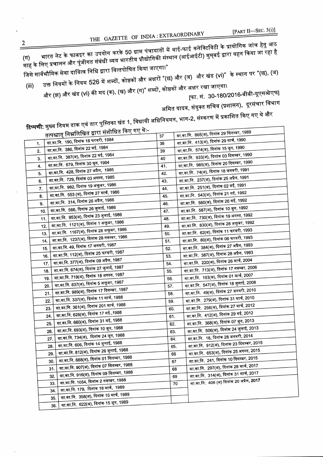[PART II-SEC.  $3(i)$ ]

 $\overline{c}$ 

THE GAZETTE OF INDIA :EXTRAORDINARY [PART II—SEC. 3(1)]<br>भारत नेट के फाबइर का उपयोग करके 50 ग्राम पंचायातों में वाई-फाई कनेक्टिविटी के प्रायोगिक जांच हेतु आठ े ''<br>माह के लिए प्रचालन और पूंजीगत संबंधी व्यय भारतीय प्रौद्योगिकी संस्थान (आईआईटी) मुम्**बई द्वारा वहन किया जा रहा है**<br>जिसे सार्वभौमिक सेवा दायित्व निधि द्वारा वित्तपोषित किया जाएगा।"<br>(iii) उक्त नियमों के नियम 526 मे जिसे सार्वभौमिक सेवा दायित्व निधि द्वारा वित्तपोषित किया जाएगा।"

और (झ) और खंड (vi) की मद (क), (ख) और (ग)" शब्दों, कोष्ठकों और अक्षर रखा जाएगा।  $(iii)$ 

[फा. सं. 30-180/2016-बीबी-यूएसओएफ] अमित यादव, संयुक्त सचिव (प्रशासन), दूरसंचार विभाग

f <mark>टिप्पणी:</mark> मुख्य नियम डाक एवं तार पुस्तिका खंड 1, विधायी अधिनियमन, भाग-2, संस्करण में प्रकाशित किए गए थे और<br>हिप्पणी: मुख्य नियम डाक एवं तार पुस्तिका खंड 1, विधायी अधिनियमन, भाग-2, संस्करण में प्रकाशित किए गण्ड

|     |     | तत्पश्चात् निम्नलिखित द्वारा सशाावित गण्ड गड पर | 37         |    | सा.का.नि.  865(अ), दिनांक 29 सितम्बर, 1989       |
|-----|-----|-------------------------------------------------|------------|----|--------------------------------------------------|
| 1.  |     | सा.का.नि. 190, दिनांक 18 फरवरी, 1984            | 38         |    | सा.का.नि.  413(अ), दिनांक 29 मार्च, 1990         |
| 2.  |     | सा.का.नि.  386, दिनांक 22 मई, 1984              | 39         |    | सा.का.नि.  574(अ), दिनांक 15 जून, 1990           |
| 3.  |     | सा.का.नि. 387(अ), दिनांक 22 मई, 1984            | 40         |    | सा.का.नि. 933(अ), दिनांक 03 दिसम्बर, 1990        |
| 4.  |     | सा.का.नि. 679, दिनांक 30 जून, 1984              | 41.        |    | सा.का.नि. 985(अ), दिनांक 20 दिसम्बर, 1990        |
| 5.  |     | सा.का.नि.  428, दिनांक 27 अप्रैल,  1985         | 42.        |    | सा.का.नि.  74(अ), दिनांक 18 जनवरी, 1991          |
| 6.  |     | सा.का.नि. 729, दिनांक 03 अगस्त, 1985            | 43.        |    | सा.का.नि.  237(अ), दिनांक 25 अप्रैल, 1991        |
| 7.  |     | सा.का.नि. 982, दिनांक 19 अक्तूबर, 1986          | 44.        |    | सा.का.नि.  251(अ), दिनांक 02 मई, 1991            |
| 8.  |     | सा.का.नि.  553 (अ), दिनांक 27 मार्च, 1986       | 45.        |    | सा.का.नि.  543(अ), दिनांक 21 मई, 1992            |
| 9.  |     | सा.का.नि.  314, दिनांक 26 अप्रैल, 1986          | 46.        |    | सा.का.नि.  560(अ), दिनांक 26 मई, 1992            |
| 10. |     | सा.का.नि. 566, दिनांक 26 जुलाई, 1986            | 47.        |    | सा.का.नि.  587(अ), दिनांक 10 जून, 1992           |
| 11. |     | सा.का.नि. 953(अ), दिनांक 23 जुलाई, 1986         | 48.        |    | सा.का.नि.  730(अ), दिनांक 19 अगस्त, 1992         |
| 12. |     | सा.का.नि. 1121(अ), दिनांक 1 अक्तूबर, 1986       | 49.        |    | सा.का.नि.  830(अ), दिनांक 28 अक्तूबर, 1992       |
| 13. |     | सा.का.नि. 1167(अ), दिनांक 28 अक्तूबर, 1986      | 50.        |    | सा.का.नि.  62(अ), दिनांक 11 फरवरी, 1993          |
| 14. |     | सा.का.नि.  1237(अ), दिनांक 28 नवम्बर, 1986      | 51.        |    | सा.का.नि.  80(अ), दिनांक 06 फरवरी, 1993          |
|     | 15. | सा.का.नि. 49, दिनांक 17 जनवरी, 1987             | 52.        |    | सा.का.नि.  384(अ), दिनांक 27 अप्रैल, 1993        |
|     | 16. | सा.का.नि. 112(अ), दिनांक 25 फरवरी, 1987         | 53.        |    | सा.का.नि.  387(अ), दिनांक 28 अप्रैल, 1993        |
|     | 17. | सा.का.नि. 377(अ), दिनांक 09 अप्रैल, 1987        | 54.        |    | सा.का.नि.  220(अ), दिनांक 26 मार्च, 2004         |
|     | 18. | सा.का.नि. 674(अ), दिनांक 27 जुलाई, 1987         | 55.        |    | सा.का.नि.  713(अ), दिनांक 17 नवम्बर, 2006        |
|     | 19. | सा.का.नि. 719(अ), दिनांक 18 अगस्त, 1987         | 56.        |    | सा.का.नि.  193(अ), दिनांक 01 मार्च, 2007         |
|     | 20. | सा.का.नि. 837(अ), दिनांक 5 अक्तूबर, 1987        | 57.        |    | सा.का.नि.  547(अ), दिनांक 18 जुलाई, 2008         |
|     | 21. | सा.का.नि. 989(अ), दिनांक 17 दिसम्बर, 1987       | 58.        |    | सा.का.नि.  49(अ), दिनांक 27 जनवरी, 2010          |
|     | 22. | सा.का.नि. 337(अ), दिनांक 11 मार्च, 1988         | 59.        |    | सा.का.नि.  279(अ), दिनांक 31 मार्च, 2010         |
|     | 23. | सा.का.नि. 361(अ), दिनांक 201 मार्च, 1988        | 60.        |    | सा.का.नि. 256(अ), दिनांक 27 मार्च, 2012          |
|     | 24. | सा.का.नि. 626(अ), दिनांक 17 मई.,1988            | 61.        |    | सा.का.नि.  412(अ), दिनांक 29 मई, 2012            |
|     | 25. | सा.का.नि. 660(अ), दिनांक 31 मई, 1988            |            |    | सा.का.नि. 368(अ), दिनांक 07 जून, 2013            |
|     | 26. | सा.का.नि. 693(अ), दिनांक 10 जून, 1988           | 62.        |    | सा.का.नि.  506(अ), दिनांक 24 जुलाई, 2013         |
|     | 27. | सा.का.नि. 734(अ),  दिनांक 24 जून, 1988          | 63.<br>64. |    | सा.का.नि. 18, दिनांक 28 जनवरी, 2014              |
|     | 28. | सा.का.नि. 606, दिनांक 14 जुलाई, 1988            | 65.        |    | सा.का.नि. 912(अ), दिनांक 23 दिसम्बर, 2015        |
|     | 29. | सा.का.नि. 812(अ), दिनांक 26 जुलाई, 1988         | 66         |    | सा.का.नि. 653(अ), दिनांक 25 अगस्त, 2015          |
|     | 30. | सा.का.नि. 888(अ), दिनांक 01 सितम्बर, 1988       | 67         |    | सा.का.नि.  241, दिनांक 10 दिसम्बर, 2015          |
|     | 31. | सा.का.नि. 907(अ), दिनांक 07 सितम्बर, 1988       | 68         |    | सा.का.नि.  297(अ), दिनांक 28 मार्च, 2017         |
|     | 32. | सा.का.नि. 916(अ), दिनांक 09 सितम्बर, 1988       |            | 69 | सा.का.नि.  314(अ), दिनांक 31 मार्च, 2017         |
|     | 33. | सा.का.नि. 1054, दिनांक 2 नवम्बर, 1988           |            | 70 | सा.का.नि. 406 (अ) दिनांक 20 अप्रैल <b>, 2017</b> |
|     | 34. | सा.का.नि. 179,  दिनांक 18 मार्च,  1989          |            |    |                                                  |
|     | 35. | सा.का.नि.  358(अ), दिनांक 15 मार्च, 1989        |            |    |                                                  |
|     | 36. | सा.का.नि.  622(अ), दिनांक 15 जून, 1989          |            |    |                                                  |
|     |     |                                                 |            |    |                                                  |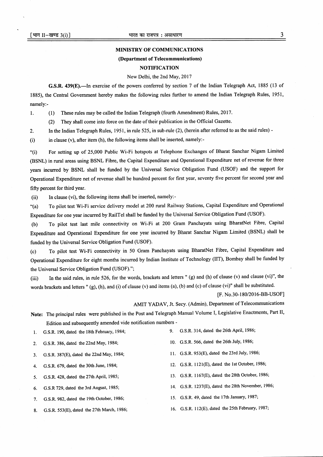#### MINISTRY OF COMMUNICATIONS

#### (Department of Telecommunications)

## **NOTIFICATION**

## NewDelhi, the 2nd May,2017

G.S.R. 439(E).-In exercise of the powers conferred by section 7 of the Indian Telegraph Act, 1885 (13 of 1885), the Central Govemment hereby makes the following rules further to amend the Indian Telegraph Rules, 1951, namely:-

l. (1) These rules may be called the Indian Telegraph (fourth Amendment) Rules, 2017.

(2) They shall come into force on the date of their publication in the Official Gazette.

2. In the Indian Telegraph Rules, 1951, in rule 525, in sub-rule (2), (herein after referred to as the said rules) -

(i) in clause (v), after item (h), the following items shall be inserted, namely:-

"(i) For setting up of 25,000 Public Wi-Fi hotspots at Telephone Exchanges of Bharat Sanchar Nigam Limited (BSNL) in rural areas using BSNL Fibre, the Capital Expenditure and Operational Expenditure net of revenue for three years incurred by BSNL shall be funded by the Universal Service Obligation Fund (USOF) and the support for Operational Expenditure net of revenue shall be hundred percent for first year, seventy five percent for second year and fifty percent for third year.

(ii) In clause (vi), the following items shall be inserted, namely:-

\*(a) To pilot test Wi-Fi service delivery model at 200 rural Railway Stations, Capital Expenditure and Operational Expenditure for one year incurred by RailTel shall be funded by the Universal Service Obligation Fund (USOF).

(b) To pilot test last mile connectivity on Wi-Fi at 200 Gram Panchayats using BharatNet Fibre' Capital Expenditure and Operational Expenditure for one year incurred by Bharat Sanchar Nigam Limited (BSNL) shall be funded by the Universal Service Obligation Fund (USOF).

(c) To pilot test Wi-Fi connectivity in 50 Gram Panchayats using BharatNet Fibre, Capital Expenditure and Operational Expenditue for eight months incurred by Indian Institute of Technology (IIT), Bombay shall be funded by the Universal Service Obligation Fund (USOF).";

(iii) In the said rules, in rale 526, for the words, brackets and letters " (g) and (h) of clause (v) and clause (vi)", the words brackets and letters " (g), (h), and (i) of clause (v) and items (a), (b) and (c) of clause (vi)" shall be substituted.

[F. No.30-180/2016-BB-USOF]

AMIT YADAV, Jt. Secy. (Admin), Department of Telecommunications

Note: The principal rules were published in the Post and Telegraph Manual Volume I, Legislative Enactments, Part II, Edition and subsequently amended vide notification numbers -

1. G.S.R. 190, dated the 18th February, 1984;

2. G.S.R. 386, dated the22nd May, 1984;

3. G.S.R. 387(E), dated the 22nd May, 1984;

- 4. G.S.R. 679, dated the 30th June, 1984;
- 5. G.S.R. 428, dated the 27th April, 1985;
- 6. G.S.R 729, dated the 3rd August, 1985;
- 7. G.S.R. 982, dated the 19th October, 1986;
- 8. G.S.R. 553(E), dated the 27th March, 1986;
- 9. G.S.R. 3l4,dated the 26th April, 1986;
- 10. G.S.R. 566, dated the 26th July, 1986;
- <sup>I</sup>l. G.S.R. 953(E), dated the 23rd July, 1986;
- 12. G.S.R. ll2l (E), dated the lst October, 1986;
- 13. G.S.R. I167(E), dated the 28th October, 1986;
- 14. G.S.R. 1237(E), dated the 28th November, 1986;
- 15. G.S.R. 49, dated the 17th January, 1987;
- 16. G.S.R. I l2(E), dated the 25th February,1987;